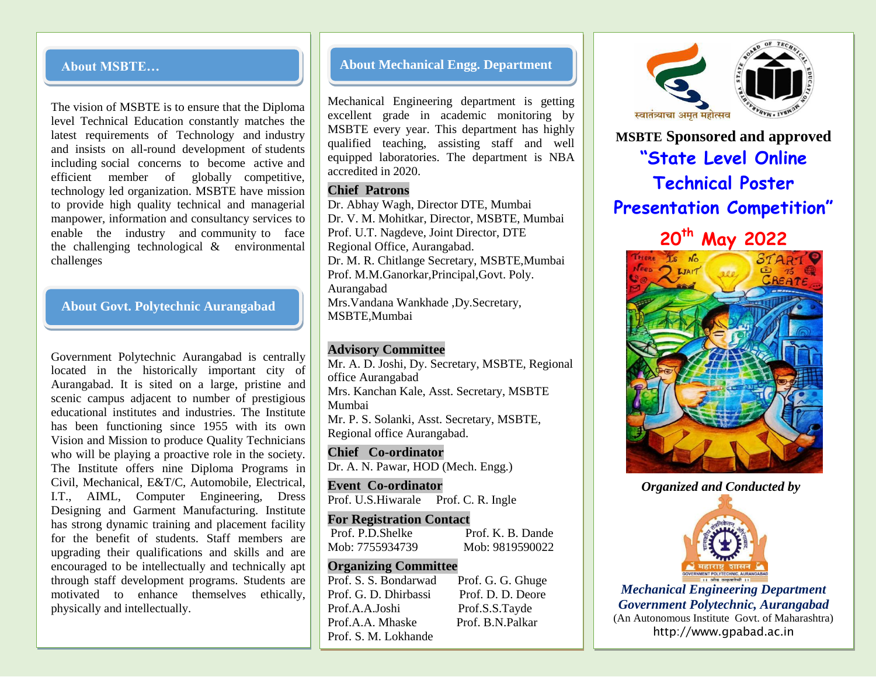#### **About MSBTE…**

The vision of MSBTE is to ensure that the Diploma level Technical Education constantly matches the latest requirements of Technology and industry and insists on all-round development of students including social concerns to become active and efficient member of globally competitive, technology led organization. MSBTE have mission to provide high quality technical and managerial manpower, information and consultancy services to enable the industry and community to face the challenging technological & environmental challenges

#### **About Govt. Polytechnic Aurangabad**

Government Polytechnic Aurangabad is centrally located in the historically important city of Aurangabad. It is sited on a large, pristine and scenic campus adjacent to number of prestigious educational institutes and industries. The Institute has been functioning since 1955 with its own Vision and Mission to produce Quality Technicians who will be playing a proactive role in the society. The Institute offers nine Diploma Programs in Civil, Mechanical, E&T/C, Automobile, Electrical, I.T., AIML, Computer Engineering, Dress Designing and Garment Manufacturing. Institute has strong dynamic training and placement facility for the benefit of students. Staff members are upgrading their qualifications and skills and are encouraged to be intellectually and technically apt through staff development programs. Students are motivated to enhance themselves ethically, physically and intellectually.

#### **About Mechanical Engg. Department**

Mechanical Engineering department is getting excellent grade in academic monitoring by MSBTE every year. This department has highly qualified teaching, assisting staff and well equipped laboratories. The department is NBA accredited in 2020.

#### **Chief Patrons**

Dr. Abhay Wagh, Director DTE, Mumbai Dr. V. M. Mohitkar, Director, MSBTE, Mumbai Prof. U.T. Nagdeve, Joint Director, DTE Regional Office, Aurangabad. Dr. M. R. Chitlange Secretary, MSBTE,Mumbai Prof. M.M.Ganorkar,Principal,Govt. Poly. Aurangabad Mrs.Vandana Wankhade ,Dy.Secretary, MSBTE,Mumbai

#### **Advisory Committee**

Mr. A. D. Joshi, Dy. Secretary, MSBTE, Regional office Aurangabad Mrs. Kanchan Kale, Asst. Secretary, MSBTE Mumbai Mr. P. S. Solanki, Asst. Secretary, MSBTE, Regional office Aurangabad.

**Chief Co-ordinator** Dr. A. N. Pawar, HOD (Mech. Engg.)

**Event Co-ordinator** Prof. U.S. Hiwarale Prof. C. R. Ingle

**For Registration Contact** Prof. P.D.Shelke Prof. K. B. Dande Mob: 7755934739 Mob: 9819590022

#### **Organizing Committee**

Prof. S. S. Bondarwad Prof. G. G. Ghuge Prof. G. D. Dhirbassi Prof. D. D. Deore Prof.A.A.Joshi Prof.S.S.Tayde Prof.A.A. Mhaske Prof. B.N.Palkar Prof. S. M. Lokhande



**MSBTE Sponsored and approved "State Level Online Technical Poster Presentation Competition"**

**20th May 2022** 



*Organized and Conducted by*



*Mechanical Engineering Department Government Polytechnic, Aurangabad* (An Autonomous Institute Govt. of Maharashtra) http://www.gpabad.ac.in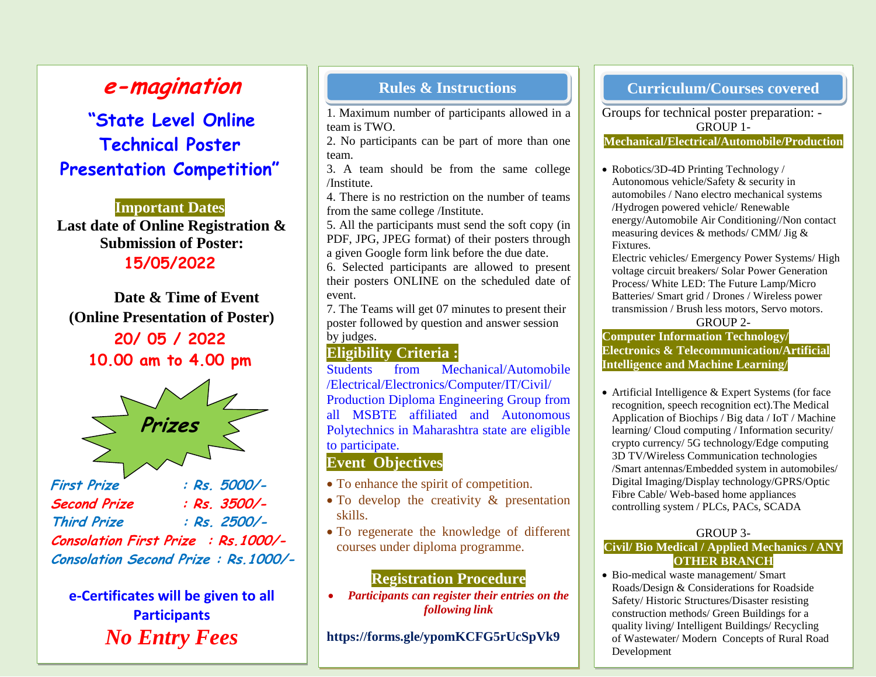# **e-magination**

# **"State Level Online Technical Poster Presentation Competition"**

**Important Dates Last date of Online Registration & Submission of Poster: 15/05/2022**

**Date & Time of Event (Online Presentation of Poster) 20/ 05 / 2022 10.00 am to 4.00 pm**



**First Prize : Rs. 5000/- Second Prize : Rs. 3500/- Third Prize : Rs. 2500/- Consolation First Prize : Rs.1000/- Consolation Second Prize : Rs.1000/-**

**e-Certificates will be given to all Participants** *No Entry Fees*

1. Maximum number of participants allowed in a team is TWO.

2. No participants can be part of more than one team.

3. A team should be from the same college /Institute.

4. There is no restriction on the number of teams from the same college /Institute.

5. All the participants must send the soft copy (in PDF, JPG, JPEG format) of their posters through a given Google form link before the due date.

6. Selected participants are allowed to present their posters ONLINE on the scheduled date of event.

7. The Teams will get 07 minutes to present their poster followed by question and answer session by judges.

## **Eligibility Criteria :**

Students from Mechanical/Automobile /Electrical/Electronics/Computer/IT/Civil/ Production Diploma Engineering Group from all MSBTE affiliated and Autonomous Polytechnics in Maharashtra state are eligible to participate.

## **Event Objectives**

- To enhance the spirit of competition.
- To develop the creativity & presentation skills.
- To regenerate the knowledge of different courses under diploma programme.

## **Registration Procedure**

 *Participants can register their entries on the following link* 

**https://forms.gle/ypomKCFG5rUcSpVk9**

## **Rules & Instructions Curriculum**/Courses covered

Groups for technical poster preparation: - GROUP 1- **Mechanical/Electrical/Automobile/Production**

• Robotics/3D-4D Printing Technology / Autonomous vehicle/Safety & security in automobiles / Nano electro mechanical systems /Hydrogen powered vehicle/ Renewable energy/Automobile Air Conditioning//Non contact measuring devices & methods/ CMM/ Jig & Fixtures.

Electric vehicles/ Emergency Power Systems/ High voltage circuit breakers/ Solar Power Generation Process/ White LED: The Future Lamp/Micro Batteries/ Smart grid / Drones / Wireless power transmission / Brush less motors, Servo motors.

#### GROUP 2-

**Computer Information Technology/ Electronics & Telecommunication/Artificial Intelligence and Machine Learning/**

• Artificial Intelligence & Expert Systems (for face recognition, speech recognition ect).The Medical Application of Biochips / Big data / IoT / Machine learning/ Cloud computing / Information security/ crypto currency/ 5G technology/Edge computing 3D TV/Wireless Communication technologies /Smart antennas/Embedded system in automobiles/ Digital Imaging/Display technology/GPRS/Optic Fibre Cable/ Web-based home appliances controlling system / PLCs, PACs, SCADA

#### GROUP 3-

#### **Civil/ Bio Medical / Applied Mechanics / ANY OTHER BRANCH**

• Bio-medical waste management/ Smart Roads/Design & Considerations for Roadside Safety/ Historic Structures/Disaster resisting construction methods/ Green Buildings for a quality living/ Intelligent Buildings/ Recycling of Wastewater/ Modern Concepts of Rural Road Development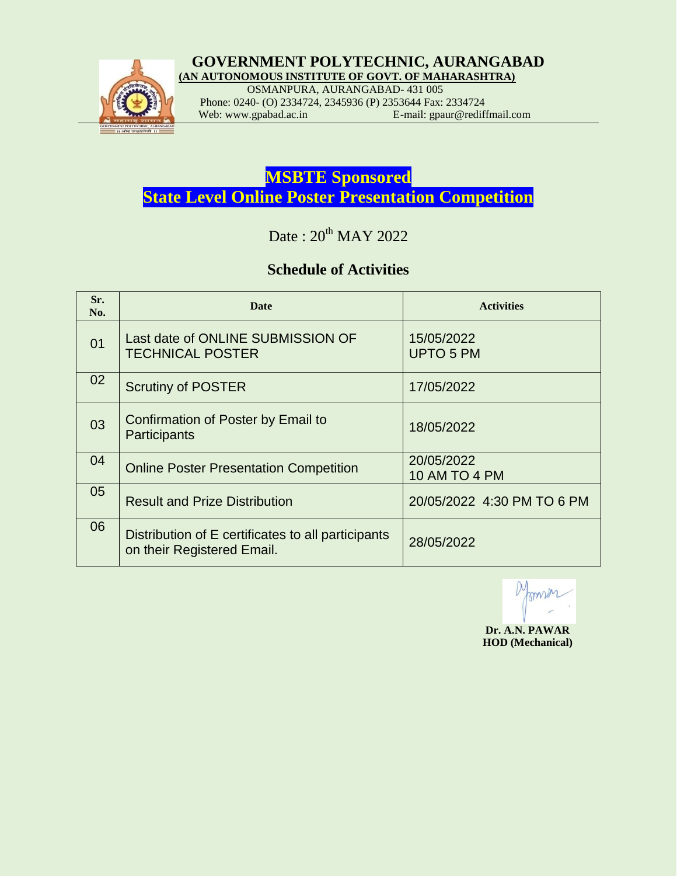

#### *GOVERNMENT POLYTECHNIC, AURANGABAD*  **(AN AUTONOMOUS INSTITUTE OF GOVT. OF MAHARASHTRA)**

OSMANPURA, AURANGABAD- 431 005

Phone: 0240- (O) 2334724, 2345936 (P) 2353644 Fax: 2334724<br>Web: www.gpabad.ac.in E-mail: gpaur@redifi E-mail: gpaur@rediffmail.com

**MSBTE Sponsored State Level Online Poster Presentation Competition**

Date:  $20^{th}$  MAY 2022

## **Schedule of Activities**

| Sr.<br>No. | <b>Date</b>                                                                      | <b>Activities</b>                  |
|------------|----------------------------------------------------------------------------------|------------------------------------|
| 01         | Last date of ONLINE SUBMISSION OF<br><b>TECHNICAL POSTER</b>                     | 15/05/2022<br><b>UPTO 5 PM</b>     |
| 02         | <b>Scrutiny of POSTER</b>                                                        | 17/05/2022                         |
| 03         | Confirmation of Poster by Email to<br>Participants                               | 18/05/2022                         |
| 04         | <b>Online Poster Presentation Competition</b>                                    | 20/05/2022<br><b>10 AM TO 4 PM</b> |
| 05         | <b>Result and Prize Distribution</b>                                             | 20/05/2022 4:30 PM TO 6 PM         |
| 06         | Distribution of E certificates to all participants<br>on their Registered Email. | 28/05/2022                         |

 **Dr. A.N. PAWAR HOD (Mechanical)**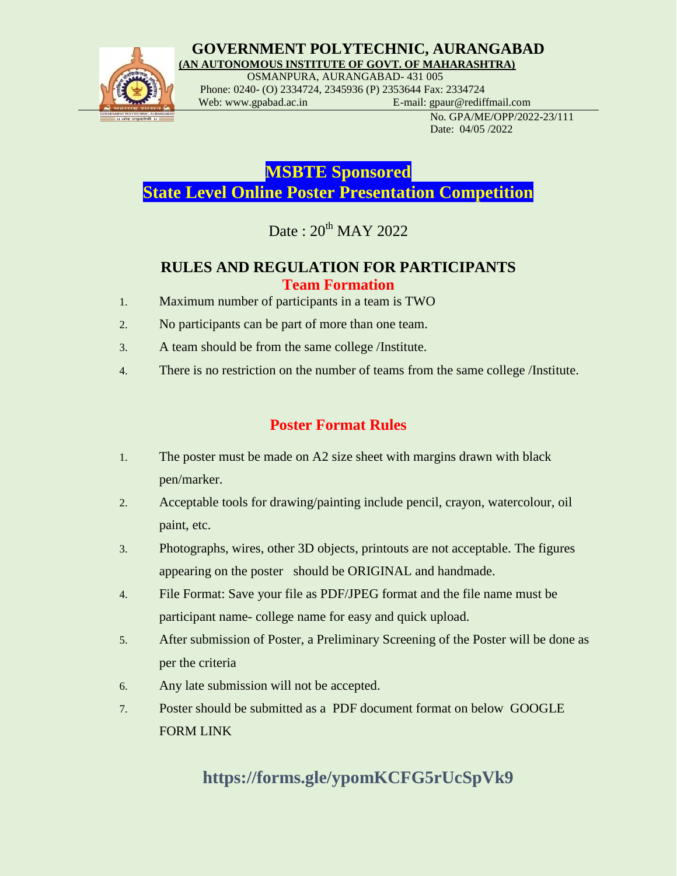

### **GOVERNMENT POLYTECHNIC, AURANGABAD (AN AUTONOMOUS INSTITUTE OF GOVT. OF MAHARASHTRA)**

 OSMANPURA, AURANGABAD- 431 005 Phone: 0240- (O) 2334724, 2345936 (P) 2353644 Fax: 2334724

Web: www.gpabad.ac.in E-mail: gpaur@rediffmail.com

 No. GPA/ME/OPP/2022-23/111 Date: 04/05 /2022

**MSBTE Sponsored State Level Online Poster Presentation Competition**

Date:  $20^{th}$  MAY 2022

## **RULES AND REGULATION FOR PARTICIPANTS Team Formation**

- 1. Maximum number of participants in a team is TWO
- 2. No participants can be part of more than one team.
- 3. A team should be from the same college /Institute.
- 4. There is no restriction on the number of teams from the same college /Institute.

## **Poster Format Rules**

- 1. The poster must be made on A2 size sheet with margins drawn with black pen/marker.
- 2. Acceptable tools for drawing/painting include pencil, crayon, watercolour, oil paint, etc.
- 3. Photographs, wires, other 3D objects, printouts are not acceptable. The figures appearing on the poster should be ORIGINAL and handmade.
- 4. File Format: Save your file as PDF/JPEG format and the file name must be participant name- college name for easy and quick upload.
- 5. After submission of Poster, a Preliminary Screening of the Poster will be done as per the criteria
- 6. Any late submission will not be accepted.
- 7. Poster should be submitted as a PDF document format on below GOOGLE FORM LINK

# **https://forms.gle/ypomKCFG5rUcSpVk9**